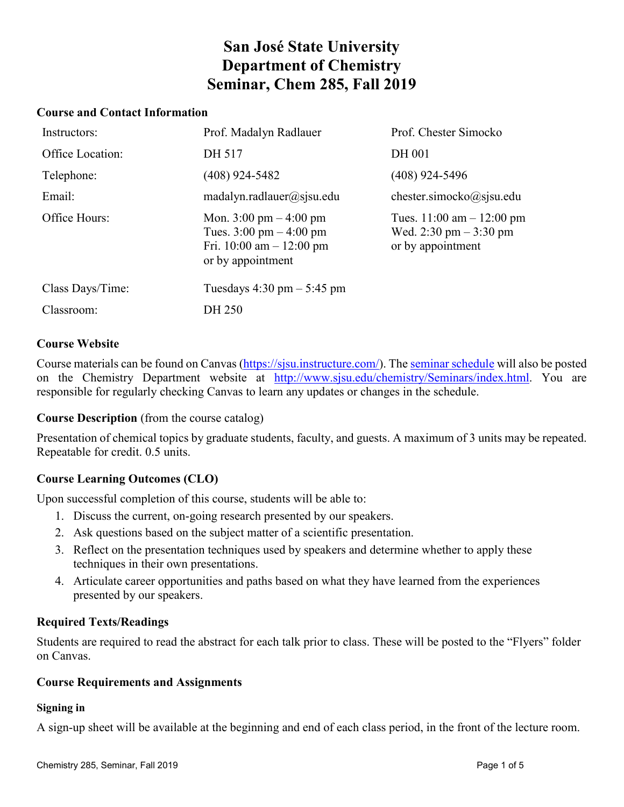# **San José State University Department of Chemistry Seminar, Chem 285, Fall 2019**

### **Course and Contact Information**

| Instructors:     | Prof. Madalyn Radlauer                                                                                                                   | Prof. Chester Simocko                                                                       |
|------------------|------------------------------------------------------------------------------------------------------------------------------------------|---------------------------------------------------------------------------------------------|
| Office Location: | DH 517                                                                                                                                   | <b>DH 001</b>                                                                               |
| Telephone:       | $(408)$ 924-5482                                                                                                                         | $(408)$ 924-5496                                                                            |
| Email:           | matalyn.radlauer@sjsu.edu                                                                                                                | chester.simocko $@$ sjsu.edu                                                                |
| Office Hours:    | Mon. $3:00 \text{ pm} - 4:00 \text{ pm}$<br>Tues. $3:00 \text{ pm} - 4:00 \text{ pm}$<br>Fri. 10:00 am $-$ 12:00 pm<br>or by appointment | Tues. $11:00 \text{ am} - 12:00 \text{ pm}$<br>Wed. 2:30 pm $-3:30$ pm<br>or by appointment |
| Class Days/Time: | Tuesdays $4:30 \text{ pm} - 5:45 \text{ pm}$                                                                                             |                                                                                             |
| Classroom:       | DH 250                                                                                                                                   |                                                                                             |

#### **Course Website**

Course materials can be found on Canvas [\(https://sjsu.instructure.com/\)](https://sjsu.instructure.com/). The [seminar schedule](http://www.sjsu.edu/chemistry/Seminars/index.html) will also be posted on the Chemistry Department website at [http://www.sjsu.edu/chemistry/Seminars/index.html.](http://www.sjsu.edu/chemistry/Seminars/index.html) You are responsible for regularly checking Canvas to learn any updates or changes in the schedule.

**Course Description** (from the course catalog)

Presentation of chemical topics by graduate students, faculty, and guests. A maximum of 3 units may be repeated. Repeatable for credit. 0.5 units.

# **Course Learning Outcomes (CLO)**

Upon successful completion of this course, students will be able to:

- 1. Discuss the current, on-going research presented by our speakers.
- 2. Ask questions based on the subject matter of a scientific presentation.
- 3. Reflect on the presentation techniques used by speakers and determine whether to apply these techniques in their own presentations.
- 4. Articulate career opportunities and paths based on what they have learned from the experiences presented by our speakers.

# **Required Texts/Readings**

Students are required to read the abstract for each talk prior to class. These will be posted to the "Flyers" folder on Canvas.

#### **Course Requirements and Assignments**

#### **Signing in**

A sign-up sheet will be available at the beginning and end of each class period, in the front of the lecture room.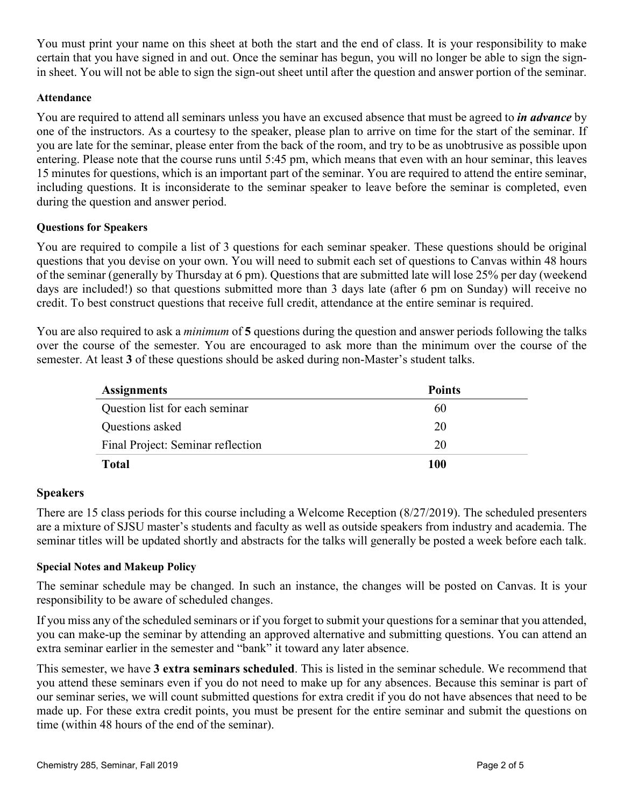You must print your name on this sheet at both the start and the end of class. It is your responsibility to make certain that you have signed in and out. Once the seminar has begun, you will no longer be able to sign the signin sheet. You will not be able to sign the sign-out sheet until after the question and answer portion of the seminar.

# **Attendance**

You are required to attend all seminars unless you have an excused absence that must be agreed to *in advance* by one of the instructors. As a courtesy to the speaker, please plan to arrive on time for the start of the seminar. If you are late for the seminar, please enter from the back of the room, and try to be as unobtrusive as possible upon entering. Please note that the course runs until 5:45 pm, which means that even with an hour seminar, this leaves 15 minutes for questions, which is an important part of the seminar. You are required to attend the entire seminar, including questions. It is inconsiderate to the seminar speaker to leave before the seminar is completed, even during the question and answer period.

#### **Questions for Speakers**

You are required to compile a list of 3 questions for each seminar speaker. These questions should be original questions that you devise on your own. You will need to submit each set of questions to Canvas within 48 hours of the seminar (generally by Thursday at 6 pm). Questions that are submitted late will lose 25% per day (weekend days are included!) so that questions submitted more than 3 days late (after 6 pm on Sunday) will receive no credit. To best construct questions that receive full credit, attendance at the entire seminar is required.

You are also required to ask a *minimum* of **5** questions during the question and answer periods following the talks over the course of the semester. You are encouraged to ask more than the minimum over the course of the semester. At least **3** of these questions should be asked during non-Master's student talks.

| <b>Assignments</b>                | <b>Points</b> |
|-----------------------------------|---------------|
| Question list for each seminar    | 60            |
| Questions asked                   | 20            |
| Final Project: Seminar reflection | 20            |
| <b>Total</b>                      | 100           |

# **Speakers**

There are 15 class periods for this course including a Welcome Reception (8/27/2019). The scheduled presenters are a mixture of SJSU master's students and faculty as well as outside speakers from industry and academia. The seminar titles will be updated shortly and abstracts for the talks will generally be posted a week before each talk.

# **Special Notes and Makeup Policy**

The seminar schedule may be changed. In such an instance, the changes will be posted on Canvas. It is your responsibility to be aware of scheduled changes.

If you miss any of the scheduled seminars or if you forget to submit your questions for a seminar that you attended, you can make-up the seminar by attending an approved alternative and submitting questions. You can attend an extra seminar earlier in the semester and "bank" it toward any later absence.

This semester, we have **3 extra seminars scheduled**. This is listed in the seminar schedule. We recommend that you attend these seminars even if you do not need to make up for any absences. Because this seminar is part of our seminar series, we will count submitted questions for extra credit if you do not have absences that need to be made up. For these extra credit points, you must be present for the entire seminar and submit the questions on time (within 48 hours of the end of the seminar).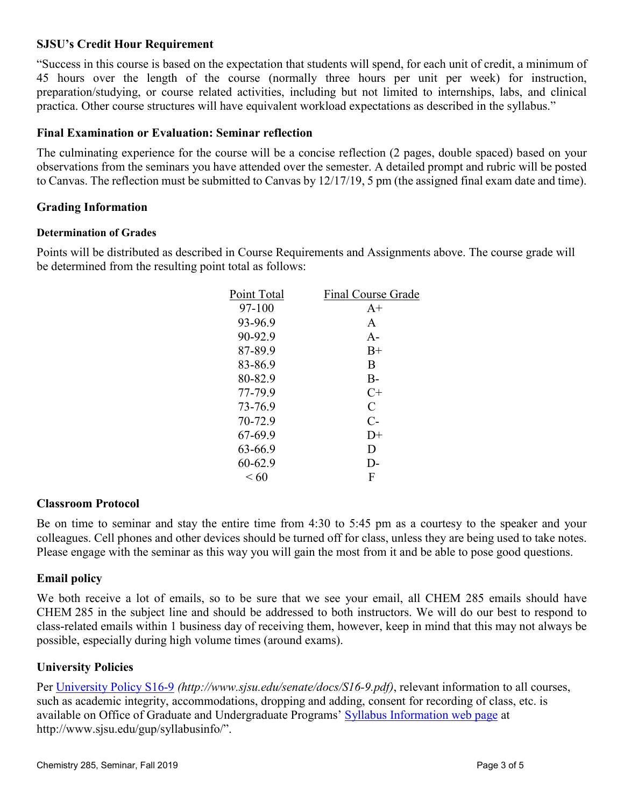# **SJSU's Credit Hour Requirement**

"Success in this course is based on the expectation that students will spend, for each unit of credit, a minimum of 45 hours over the length of the course (normally three hours per unit per week) for instruction, preparation/studying, or course related activities, including but not limited to internships, labs, and clinical practica. Other course structures will have equivalent workload expectations as described in the syllabus."

# **Final Examination or Evaluation: Seminar reflection**

The culminating experience for the course will be a concise reflection (2 pages, double spaced) based on your observations from the seminars you have attended over the semester. A detailed prompt and rubric will be posted to Canvas. The reflection must be submitted to Canvas by 12/17/19, 5 pm (the assigned final exam date and time).

# **Grading Information**

# **Determination of Grades**

Points will be distributed as described in Course Requirements and Assignments above. The course grade will be determined from the resulting point total as follows:

| Final Course Grade |
|--------------------|
| $A+$               |
| A                  |
| $A -$              |
| $B+$               |
| B                  |
| $B -$              |
| $C+$               |
| C                  |
| $C-$               |
| $D+$               |
| D                  |
| $\mathsf{D}$       |
| F                  |
|                    |

# **Classroom Protocol**

Be on time to seminar and stay the entire time from 4:30 to 5:45 pm as a courtesy to the speaker and your colleagues. Cell phones and other devices should be turned off for class, unless they are being used to take notes. Please engage with the seminar as this way you will gain the most from it and be able to pose good questions.

# **Email policy**

We both receive a lot of emails, so to be sure that we see your email, all CHEM 285 emails should have CHEM 285 in the subject line and should be addressed to both instructors. We will do our best to respond to class-related emails within 1 business day of receiving them, however, keep in mind that this may not always be possible, especially during high volume times (around exams).

# **University Policies**

Per [University Policy S16-9](http://www.sjsu.edu/senate/docs/S16-9.pdf) *(http://www.sjsu.edu/senate/docs/S16-9.pdf)*, relevant information to all courses, such as academic integrity, accommodations, dropping and adding, consent for recording of class, etc. is available on Office of Graduate and Undergraduate Programs' [Syllabus Information web page](http://www.sjsu.edu/gup/syllabusinfo/) at http://www.sjsu.edu/gup/syllabusinfo/".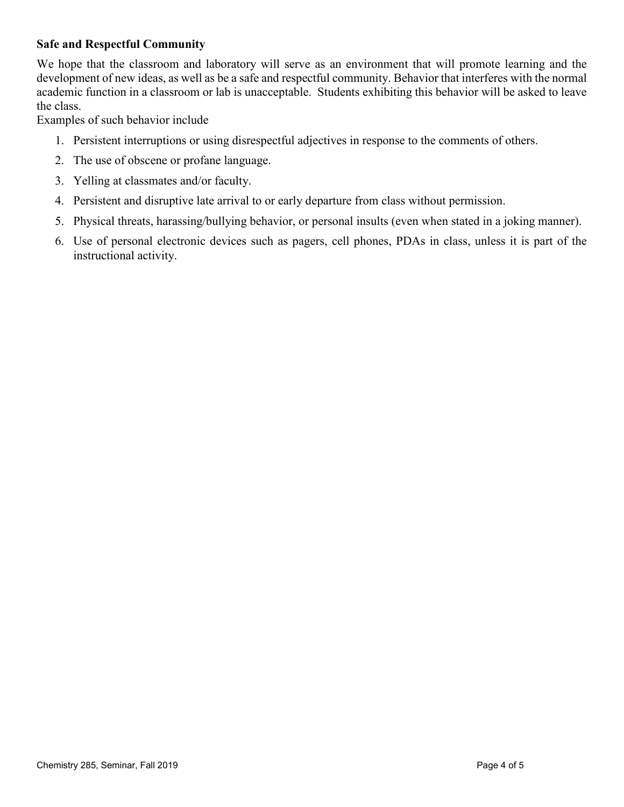# **Safe and Respectful Community**

We hope that the classroom and laboratory will serve as an environment that will promote learning and the development of new ideas, as well as be a safe and respectful community. Behavior that interferes with the normal academic function in a classroom or lab is unacceptable. Students exhibiting this behavior will be asked to leave the class.

Examples of such behavior include

- 1. Persistent interruptions or using disrespectful adjectives in response to the comments of others.
- 2. The use of obscene or profane language.
- 3. Yelling at classmates and/or faculty.
- 4. Persistent and disruptive late arrival to or early departure from class without permission.
- 5. Physical threats, harassing/bullying behavior, or personal insults (even when stated in a joking manner).
- 6. Use of personal electronic devices such as pagers, cell phones, PDAs in class, unless it is part of the instructional activity.